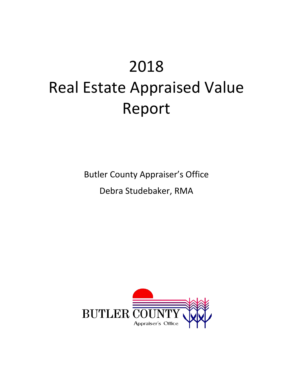# 2018 Real Estate Appraised Value Report

Butler County Appraiser's Office

Debra Studebaker, RMA

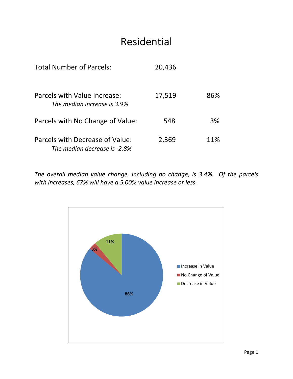## Residential

| <b>Total Number of Parcels:</b>                                 | 20,436 |     |
|-----------------------------------------------------------------|--------|-----|
| Parcels with Value Increase:<br>The median increase is 3.9%     | 17,519 | 86% |
| Parcels with No Change of Value:                                | 548    | 3%  |
| Parcels with Decrease of Value:<br>The median decrease is -2.8% | 2,369  | 11% |

*The overall median value change, including no change, is 3.4%. Of the parcels with increases, 67% will have a 5.00% value increase or less.*

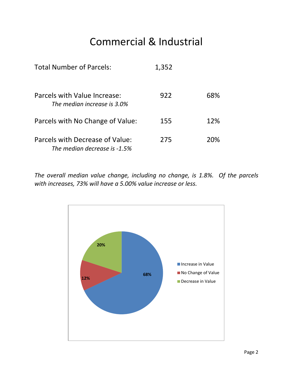## Commercial & Industrial

| <b>Total Number of Parcels:</b>                                 | 1,352 |     |
|-----------------------------------------------------------------|-------|-----|
| Parcels with Value Increase:<br>The median increase is 3.0%     | 922   | 68% |
| Parcels with No Change of Value:                                | 155   | 12% |
| Parcels with Decrease of Value:<br>The median decrease is -1.5% | 275   | 20% |

*The overall median value change, including no change, is 1.8%. Of the parcels with increases, 73% will have a 5.00% value increase or less.*

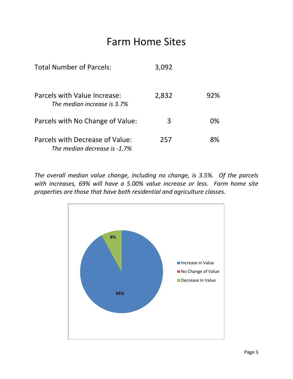#### Farm Home Sites

| <b>Total Number of Parcels:</b>                                 | 3,092 |     |
|-----------------------------------------------------------------|-------|-----|
| Parcels with Value Increase:<br>The median increase is 3.7%     | 2,832 | 92% |
| Parcels with No Change of Value:                                | 3     | 0%  |
| Parcels with Decrease of Value:<br>The median decrease is -1.7% | 257   | 8%  |

*The overall median value change, including no change, is 3.5%. Of the parcels with increases, 69% will have a 5.00% value increase or less. Farm home site properties are those that have both residential and agriculture classes.*

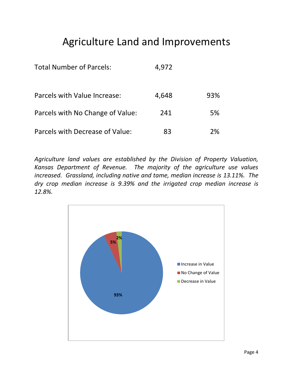## Agriculture Land and Improvements

| <b>Total Number of Parcels:</b>  | 4,972 |     |
|----------------------------------|-------|-----|
| Parcels with Value Increase:     | 4,648 | 93% |
| Parcels with No Change of Value: | 241   | 5%  |
| Parcels with Decrease of Value:  | 83    | ን%  |

*Agriculture land values are established by the Division of Property Valuation, Kansas Department of Revenue. The majority of the agriculture use values increased. Grassland, including native and tame, median increase is 13.11%. The dry crop median increase is 9.39% and the irrigated crop median increase is 12.8%.*

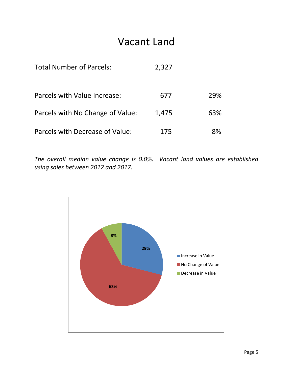#### Vacant Land

| <b>Total Number of Parcels:</b>  | 2,327 |     |
|----------------------------------|-------|-----|
| Parcels with Value Increase:     | 677   | 29% |
| Parcels with No Change of Value: | 1,475 | 63% |
| Parcels with Decrease of Value:  | 175   | 8%  |

*The overall median value change is 0.0%. Vacant land values are established using sales between 2012 and 2017.*

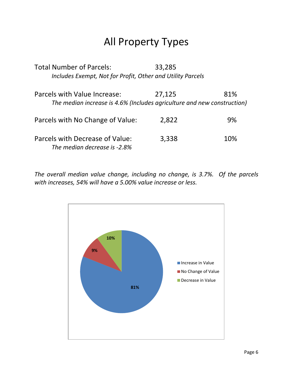## All Property Types

| <b>Total Number of Parcels:</b>                                         | 33,285 |     |
|-------------------------------------------------------------------------|--------|-----|
| Includes Exempt, Not for Profit, Other and Utility Parcels              |        |     |
| Parcels with Value Increase:                                            | 27,125 | 81% |
| The median increase is 4.6% (Includes agriculture and new construction) |        |     |
| Parcels with No Change of Value:                                        | 2,822  | 9%  |
| Parcels with Decrease of Value:<br>The median decrease is -2.8%         | 3,338  | 10% |

*The overall median value change, including no change, is 3.7%. Of the parcels with increases, 54% will have a 5.00% value increase or less.*

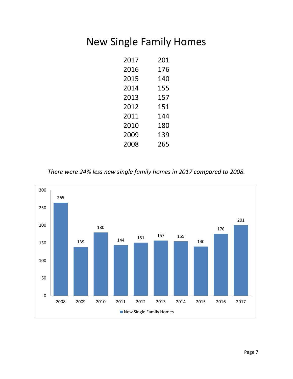## New Single Family Homes

| 2017 | 201 |
|------|-----|
| 2016 | 176 |
| 2015 | 140 |
| 2014 | 155 |
| 2013 | 157 |
| 2012 | 151 |
| 2011 | 144 |
| 2010 | 180 |
| 2009 | 139 |
| 2008 | 265 |

*There were 24% less new single family homes in 2017 compared to 2008.*

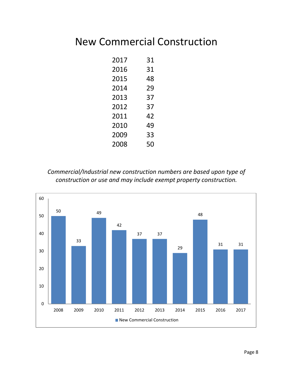#### New Commercial Construction

| 2017 | 31 |
|------|----|
| 2016 | 31 |
| 2015 | 48 |
| 2014 | 29 |
| 2013 | 37 |
| 2012 | 37 |
| 2011 | 42 |
| 2010 | 49 |
| 2009 | 33 |
| 2008 | 50 |

*Commercial/Industrial new construction numbers are based upon type of construction or use and may include exempt property construction.*

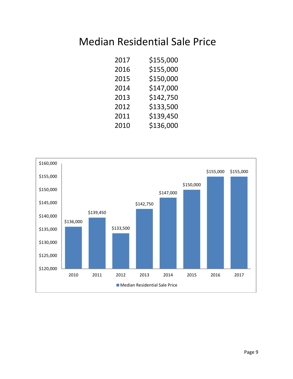#### Median Residential Sale Price

| 2017 | \$155,000 |
|------|-----------|
| 2016 | \$155,000 |
| 2015 | \$150,000 |
| 2014 | \$147,000 |
| 2013 | \$142,750 |
| 2012 | \$133,500 |
| 2011 | \$139,450 |
| 2010 | \$136,000 |